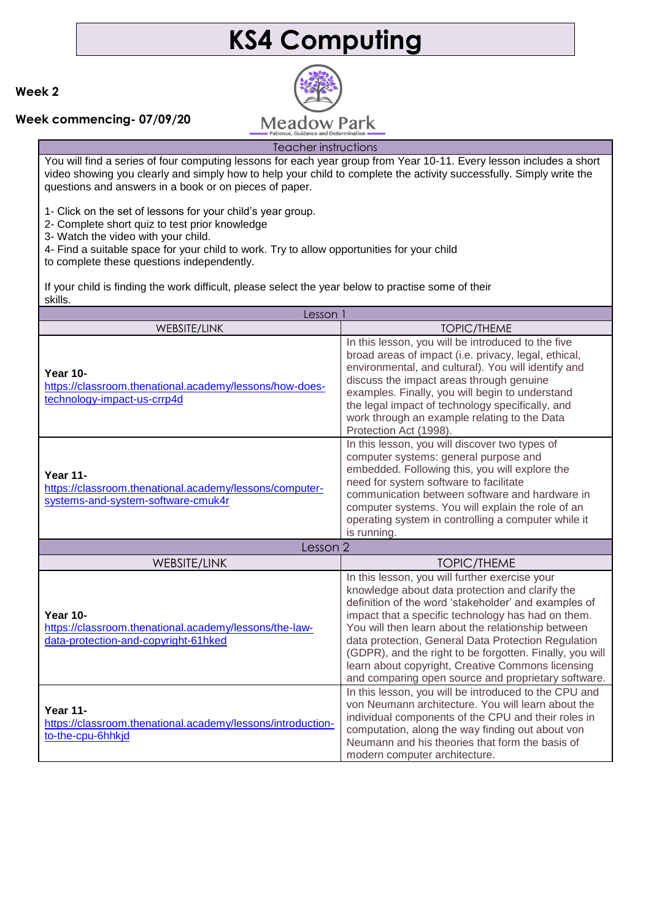# **KS4 Computing**

### **Week 2**

### **Week commencing- 07/09/20**



## Teacher instructions

You will find a series of four computing lessons for each year group from Year 10-11. Every lesson includes a short video showing you clearly and simply how to help your child to complete the activity successfully. Simply write the questions and answers in a book or on pieces of paper.

1- Click on the set of lessons for your child's year group.

2- Complete short quiz to test prior knowledge

3- Watch the video with your child.

4- Find a suitable space for your child to work. Try to allow opportunities for your child

to complete these questions independently.

If your child is finding the work difficult, please select the year below to practise some of their skills.

| Lesson 1                                                                                                          |                                                                                                                                                                                                                                                                                                                                                                                                                                                                                                      |
|-------------------------------------------------------------------------------------------------------------------|------------------------------------------------------------------------------------------------------------------------------------------------------------------------------------------------------------------------------------------------------------------------------------------------------------------------------------------------------------------------------------------------------------------------------------------------------------------------------------------------------|
| WEBSITE/LINK                                                                                                      | <b>TOPIC/THEME</b>                                                                                                                                                                                                                                                                                                                                                                                                                                                                                   |
| <b>Year 10-</b><br>https://classroom.thenational.academy/lessons/how-does-<br>technology-impact-us-crrp4d         | In this lesson, you will be introduced to the five<br>broad areas of impact (i.e. privacy, legal, ethical,<br>environmental, and cultural). You will identify and<br>discuss the impact areas through genuine<br>examples. Finally, you will begin to understand<br>the legal impact of technology specifically, and<br>work through an example relating to the Data<br>Protection Act (1998).                                                                                                       |
| <b>Year 11-</b><br>https://classroom.thenational.academy/lessons/computer-<br>systems-and-system-software-cmuk4r  | In this lesson, you will discover two types of<br>computer systems: general purpose and<br>embedded. Following this, you will explore the<br>need for system software to facilitate<br>communication between software and hardware in<br>computer systems. You will explain the role of an<br>operating system in controlling a computer while it<br>is running.                                                                                                                                     |
| Lesson 2                                                                                                          |                                                                                                                                                                                                                                                                                                                                                                                                                                                                                                      |
| <b>WEBSITE/LINK</b>                                                                                               | <b>TOPIC/THEME</b>                                                                                                                                                                                                                                                                                                                                                                                                                                                                                   |
| <b>Year 10-</b><br>https://classroom.thenational.academy/lessons/the-law-<br>data-protection-and-copyright-61hked | In this lesson, you will further exercise your<br>knowledge about data protection and clarify the<br>definition of the word 'stakeholder' and examples of<br>impact that a specific technology has had on them.<br>You will then learn about the relationship between<br>data protection, General Data Protection Regulation<br>(GDPR), and the right to be forgotten. Finally, you will<br>learn about copyright, Creative Commons licensing<br>and comparing open source and proprietary software. |
| <b>Year 11-</b><br>https://classroom.thenational.academy/lessons/introduction-<br>to-the-cpu-6hhkjd               | In this lesson, you will be introduced to the CPU and<br>von Neumann architecture. You will learn about the<br>individual components of the CPU and their roles in<br>computation, along the way finding out about von<br>Neumann and his theories that form the basis of<br>modern computer architecture.                                                                                                                                                                                           |